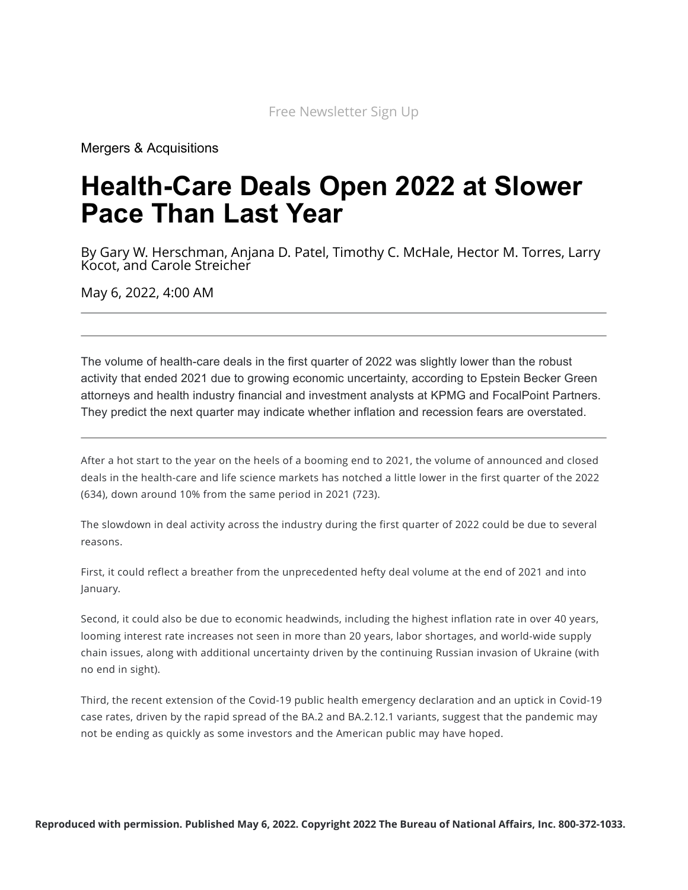[Mergers & Acquisitions](https://news.bloomberglaw.com/mergers-and-acquisitions/)

# **Health-Care Deals Open 2022 at Slower Pace Than Last Year**

By Gary W. Herschman, Anjana D. Patel, Timothy C. McHale, Hector M. Torres, Larry Kocot, and Carole Streicher

May 6, 2022, 4:00 AM

The volume of health-care deals in the first quarter of 2022 was slightly lower than the robust activity that ended 2021 due to growing economic uncertainty, according to Epstein Becker Green attorneys and health industry financial and investment analysts at KPMG and FocalPoint Partners. They predict the next quarter may indicate whether inflation and recession fears are overstated.

After a hot start to the year on the heels of a booming end to 2021, the volume of announced and closed deals in the health-care and life science markets has notched a little lower in the first quarter of the 2022 (634), down around 10% from the same period in 2021 (723).

The slowdown in deal activity across the industry during the first quarter of 2022 could be due to several reasons.

First, it could reflect a breather from the unprecedented hefty deal volume at the end of 2021 and into January.

Second, it could also be due to economic headwinds, including the highest inflation rate in over 40 years, looming interest rate increases not seen in more than 20 years, labor shortages, and world-wide supply chain issues, along with additional uncertainty driven by the continuing Russian invasion of Ukraine (with no end in sight).

Third, the recent extension of the Covid-19 public health emergency declaration and an uptick in Covid-19 case rates, driven by the rapid spread of the BA.2 and BA.2.12.1 variants, suggest that the pandemic may not be ending as quickly as some investors and the American public may have hoped.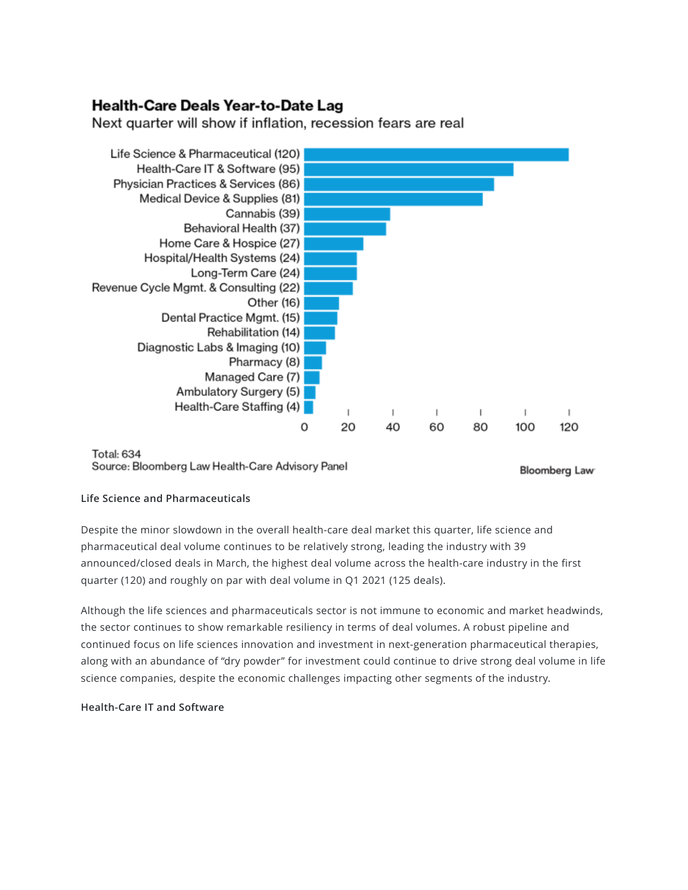# Health-Care Deals Year-to-Date Lag

Next quarter will show if inflation, recession fears are real



#### Total: 634 Source: Bloomberg Law Health-Care Advisory Panel

**Bloomberg Law** 

### **Life Science and Pharmaceuticals**

Despite the minor slowdown in the overall health-care deal market this quarter, life science and pharmaceutical deal volume continues to be relatively strong, leading the industry with 39 announced/closed deals in March, the highest deal volume across the health-care industry in the first quarter (120) and roughly on par with deal volume in Q1 2021 (125 deals).

Although the life sciences and pharmaceuticals sector is not immune to economic and market headwinds, the sector continues to show remarkable resiliency in terms of deal volumes. A robust pipeline and continued focus on life sciences innovation and investment in next-generation pharmaceutical therapies, along with an abundance of "dry powder" for investment could continue to drive strong deal volume in life science companies, despite the economic challenges impacting other segments of the industry.

### **Health-Care IT and Software**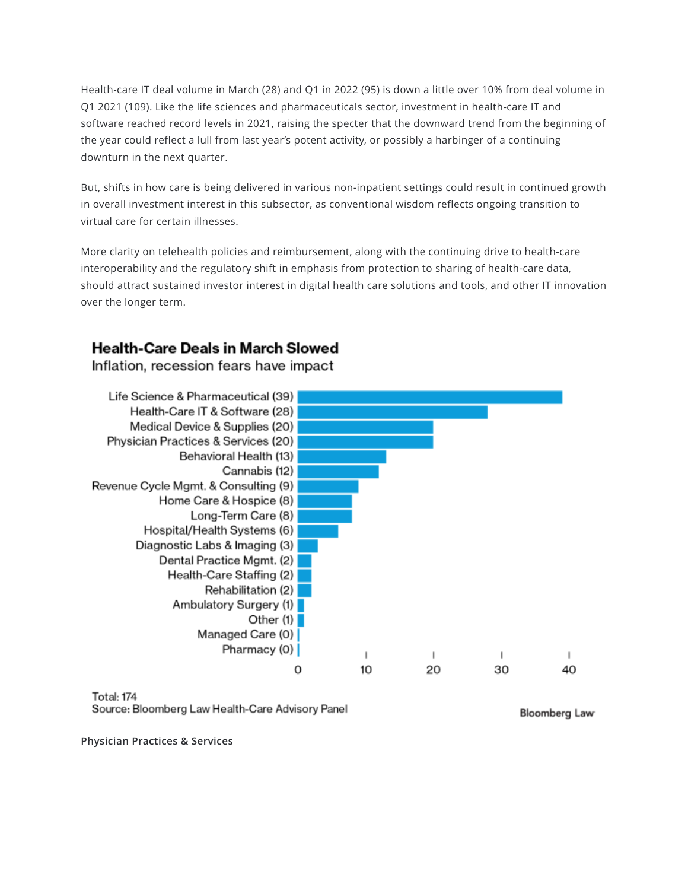Health-care IT deal volume in March (28) and Q1 in 2022 (95) is down a little over 10% from deal volume in Q1 2021 (109). Like the life sciences and pharmaceuticals sector, investment in health-care IT and software reached record levels in 2021, raising the specter that the downward trend from the beginning of the year could reflect a lull from last year's potent activity, or possibly a harbinger of a continuing downturn in the next quarter.

But, shifts in how care is being delivered in various non-inpatient settings could result in continued growth in overall investment interest in this subsector, as conventional wisdom reflects ongoing transition to virtual care for certain illnesses.

More clarity on telehealth policies and reimbursement, along with the continuing drive to health-care interoperability and the regulatory shift in emphasis from protection to sharing of health-care data, should attract sustained investor interest in digital health care solutions and tools, and other IT innovation over the longer term.

# **Health-Care Deals in March Slowed**

Inflation, recession fears have impact



**Total: 174** Source: Bloomberg Law Health-Care Advisory Panel

**Bloomberg Law** 

**Physician Practices & Services**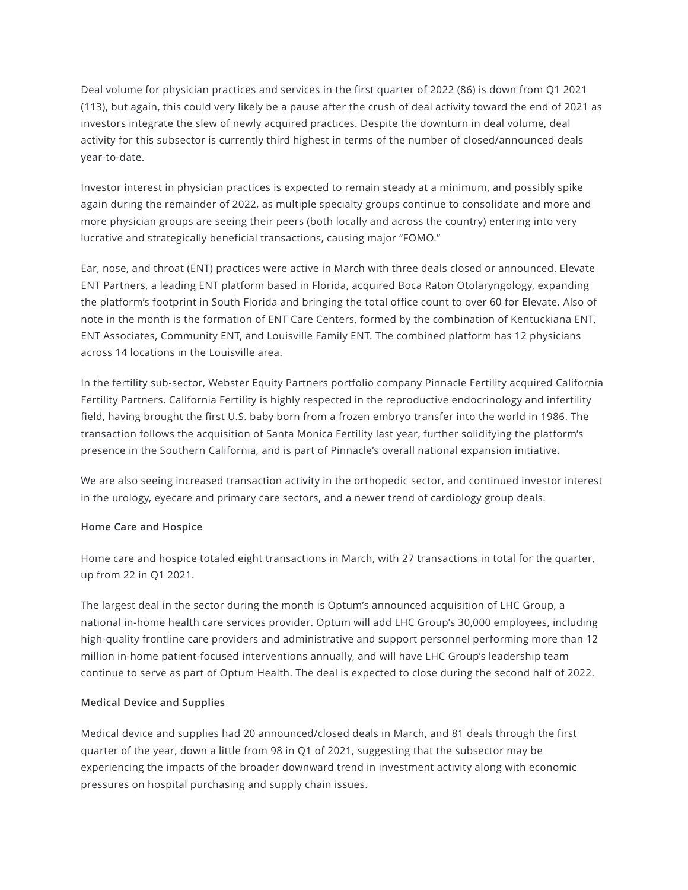Deal volume for physician practices and services in the first quarter of 2022 (86) is down from Q1 2021 (113), but again, this could very likely be a pause after the crush of deal activity toward the end of 2021 as investors integrate the slew of newly acquired practices. Despite the downturn in deal volume, deal activity for this subsector is currently third highest in terms of the number of closed/announced deals year-to-date.

Investor interest in physician practices is expected to remain steady at a minimum, and possibly spike again during the remainder of 2022, as multiple specialty groups continue to consolidate and more and more physician groups are seeing their peers (both locally and across the country) entering into very lucrative and strategically beneficial transactions, causing major "FOMO."

Ear, nose, and throat (ENT) practices were active in March with three deals closed or announced. Elevate ENT Partners, a leading ENT platform based in Florida, acquired Boca Raton Otolaryngology, expanding the platform's footprint in South Florida and bringing the total office count to over 60 for Elevate. Also of note in the month is the formation of ENT Care Centers, formed by the combination of Kentuckiana ENT, ENT Associates, Community ENT, and Louisville Family ENT. The combined platform has 12 physicians across 14 locations in the Louisville area.

In the fertility sub-sector, Webster Equity Partners portfolio company Pinnacle Fertility acquired California Fertility Partners. California Fertility is highly respected in the reproductive endocrinology and infertility field, having brought the first U.S. baby born from a frozen embryo transfer into the world in 1986. The transaction follows the acquisition of Santa Monica Fertility last year, further solidifying the platform's presence in the Southern California, and is part of Pinnacle's overall national expansion initiative.

We are also seeing increased transaction activity in the orthopedic sector, and continued investor interest in the urology, eyecare and primary care sectors, and a newer trend of cardiology group deals.

### **Home Care and Hospice**

Home care and hospice totaled eight transactions in March, with 27 transactions in total for the quarter, up from 22 in Q1 2021.

The largest deal in the sector during the month is Optum's announced acquisition of LHC Group, a national in-home health care services provider. Optum will add LHC Group's 30,000 employees, including high-quality frontline care providers and administrative and support personnel performing more than 12 million in-home patient-focused interventions annually, and will have LHC Group's leadership team continue to serve as part of Optum Health. The deal is expected to close during the second half of 2022.

#### **Medical Device and Supplies**

Medical device and supplies had 20 announced/closed deals in March, and 81 deals through the first quarter of the year, down a little from 98 in Q1 of 2021, suggesting that the subsector may be experiencing the impacts of the broader downward trend in investment activity along with economic pressures on hospital purchasing and supply chain issues.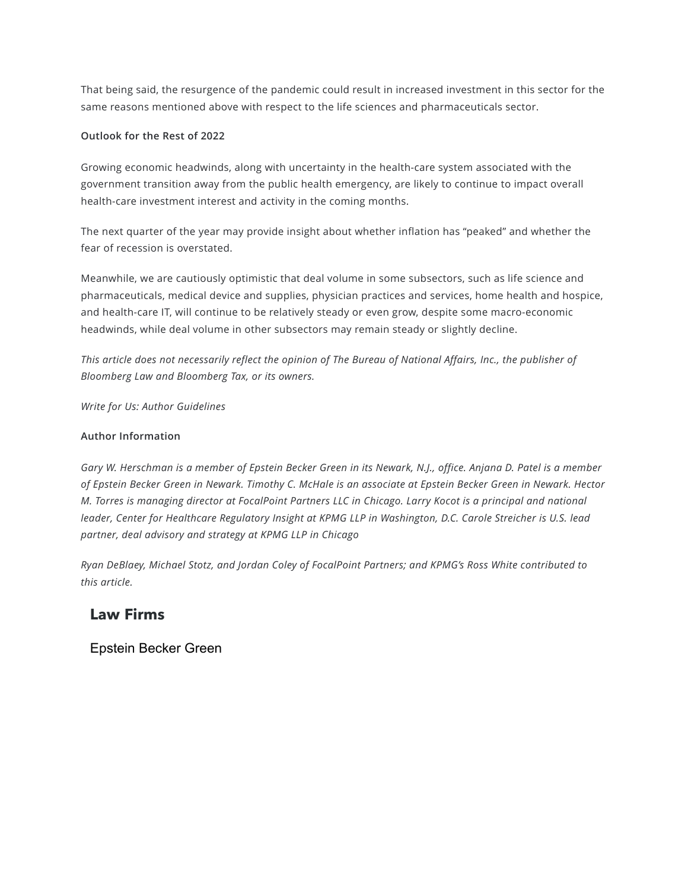That being said, the resurgence of the pandemic could result in increased investment in this sector for the same reasons mentioned above with respect to the life sciences and pharmaceuticals sector.

### **Outlook for the Rest of 2022**

Growing economic headwinds, along with uncertainty in the health-care system associated with the government transition away from the public health emergency, are likely to continue to impact overall health-care investment interest and activity in the coming months.

The next quarter of the year may provide insight about whether inflation has "peaked" and whether the fear of recession is overstated.

Meanwhile, we are cautiously optimistic that deal volume in some subsectors, such as life science and pharmaceuticals, medical device and supplies, physician practices and services, home health and hospice, and health-care IT, will continue to be relatively steady or even grow, despite some macro-economic headwinds, while deal volume in other subsectors may remain steady or slightly decline.

This article does not necessarily reflect the opinion of The Bureau of National Affairs, Inc., the publisher of *Bloomberg Law and Bloomberg Tax, or its owners.*

*Write for Us: Author [Guidelines](https://pro.bloomberglaw.com/author-guidelines/)*

### **Author Information**

Gary W. [Herschman](https://nam02.safelinks.protection.outlook.com/?url=https%3A%2F%2Fwww.ebglaw.com%2Fgary-w-herschman%2F&data=04%7C01%7Crwilhelm%40bloombergindustry.com%7C10a66a60ee434ab1727208d8bed79ca3%7C97be21fdc6014b169920f5accc69da65%7C0%7C0%7C637469180725299976%7CUnknown%7CTWFpbGZsb3d8eyJWIjoiMC4wLjAwMDAiLCJQIjoiV2luMzIiLCJBTiI6Ik1haWwiLCJXVCI6Mn0%3D%7C1000&sdata=es%2F00L6krOwifAt6aZ2Mwx7jkKyGpjD7fJBB3oT0y5E%3D&reserved=0) is a member of Epstein Becker Green in its Newark, N.J., office. [Anjana](https://nam02.safelinks.protection.outlook.com/?url=https%3A%2F%2Fwww.ebglaw.com%2Fanjana-d-patel%2F&data=04%7C01%7Crwilhelm%40bloombergindustry.com%7C10a66a60ee434ab1727208d8bed79ca3%7C97be21fdc6014b169920f5accc69da65%7C0%7C0%7C637469180725309976%7CUnknown%7CTWFpbGZsb3d8eyJWIjoiMC4wLjAwMDAiLCJQIjoiV2luMzIiLCJBTiI6Ik1haWwiLCJXVCI6Mn0%3D%7C1000&sdata=MuCt8YXI7wjwxSmWyQv3vY2O858VL5BiYg8C058mX%2Fo%3D&reserved=0) D. Patel is a member of Epstein Becker Green in Newark. [Timothy](https://www.ebglaw.com/people/timothy-tim-c-mchale/) C. McHale is an associate at Epstein Becker Green in Newark. Hector M. Torres is managing director at [FocalPoint](https://nam02.safelinks.protection.outlook.com/?url=https%3A%2F%2Ffocalpointllc.com%2Fteam%2Fhector-torres%2F&data=04%7C01%7Crwilhelm%40bloombergindustry.com%7C10a66a60ee434ab1727208d8bed79ca3%7C97be21fdc6014b169920f5accc69da65%7C0%7C0%7C637469180725319983%7CUnknown%7CTWFpbGZsb3d8eyJWIjoiMC4wLjAwMDAiLCJQIjoiV2luMzIiLCJBTiI6Ik1haWwiLCJXVCI6Mn0%3D%7C1000&sdata=SqNyiLqrvafGYpZSWeDCwohzBl2Q%2BI0qHOU8Uax2U9A%3D&reserved=0) Partners LLC in Chicago. Larry [Kocot](https://nam02.safelinks.protection.outlook.com/?url=https%3A%2F%2Fhome.kpmg%2Fus%2Fen%2Fhome%2Fcontacts%2Fk%2Flarry-kocot.html&data=04%7C01%7Crwilhelm%40bloombergindustry.com%7C10a66a60ee434ab1727208d8bed79ca3%7C97be21fdc6014b169920f5accc69da65%7C0%7C0%7C637469180725319983%7CUnknown%7CTWFpbGZsb3d8eyJWIjoiMC4wLjAwMDAiLCJQIjoiV2luMzIiLCJBTiI6Ik1haWwiLCJXVCI6Mn0%3D%7C1000&sdata=ZRRQhn%2F4MU%2BamlUrxX0OTVZjPIZTz9x6DKcPv2XoZlI%3D&reserved=0) is a principal and national leader, Center for Healthcare Regulatory Insight at KPMG LLP in Washington, D.C. Carole [Streicher](https://nam02.safelinks.protection.outlook.com/?url=https%3A%2F%2Fwww.kpmg.us%2Fbios%2Fs%2Fstreicher-carole.html&data=04%7C01%7Crwilhelm%40bloombergindustry.com%7C10a66a60ee434ab1727208d8bed79ca3%7C97be21fdc6014b169920f5accc69da65%7C0%7C0%7C637469180725329962%7CUnknown%7CTWFpbGZsb3d8eyJWIjoiMC4wLjAwMDAiLCJQIjoiV2luMzIiLCJBTiI6Ik1haWwiLCJXVCI6Mn0%3D%7C1000&sdata=P813rrrEBGHG1%2BKy0%2B%2FKSF%2FJWPsg9%2F7YrMpBHPzSXEs%3D&reserved=0) is U.S. lead *partner, deal advisory and strategy at KPMG LLP in Chicago*

*Ryan DeBlaey, Michael Stotz, and Jordan Coley of FocalPoint Partners; and KPMG's Ross White contributed to this article.*

## **Law Firms**

[Epstein Becker Green](https://news.bloomberglaw.com/mergers-and-acquisitions/search?lawFirms=00000152-e726-da6a-abd2-ef3ea5740000)